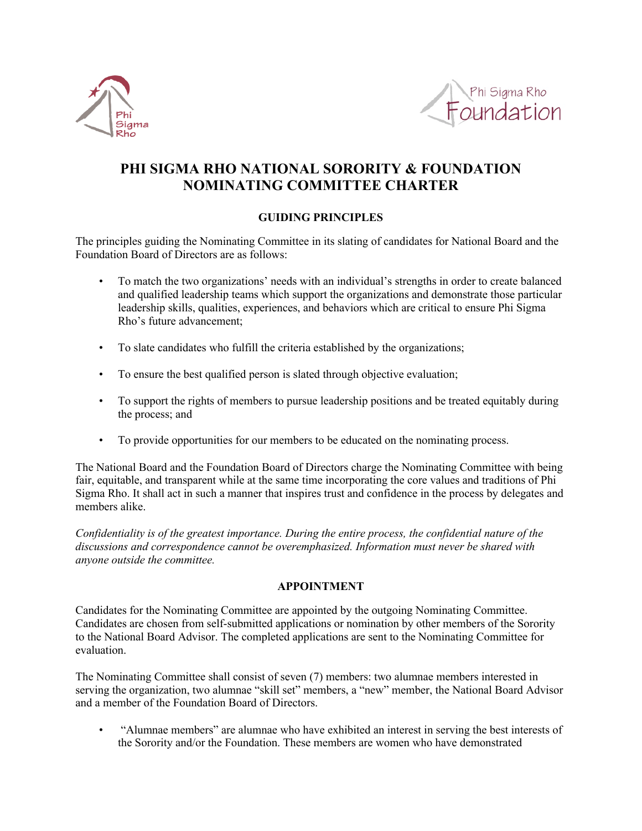



# **PHI SIGMA RHO NATIONAL SORORITY & FOUNDATION NOMINATING COMMITTEE CHARTER**

## **GUIDING PRINCIPLES**

The principles guiding the Nominating Committee in its slating of candidates for National Board and the Foundation Board of Directors are as follows:

- To match the two organizations' needs with an individual's strengths in order to create balanced and qualified leadership teams which support the organizations and demonstrate those particular leadership skills, qualities, experiences, and behaviors which are critical to ensure Phi Sigma Rho's future advancement;
- To slate candidates who fulfill the criteria established by the organizations;
- To ensure the best qualified person is slated through objective evaluation;
- To support the rights of members to pursue leadership positions and be treated equitably during the process; and
- To provide opportunities for our members to be educated on the nominating process.

The National Board and the Foundation Board of Directors charge the Nominating Committee with being fair, equitable, and transparent while at the same time incorporating the core values and traditions of Phi Sigma Rho. It shall act in such a manner that inspires trust and confidence in the process by delegates and members alike.

*Confidentiality is of the greatest importance. During the entire process, the confidential nature of the discussions and correspondence cannot be overemphasized. Information must never be shared with anyone outside the committee.*

## **APPOINTMENT**

Candidates for the Nominating Committee are appointed by the outgoing Nominating Committee. Candidates are chosen from self-submitted applications or nomination by other members of the Sorority to the National Board Advisor. The completed applications are sent to the Nominating Committee for evaluation.

The Nominating Committee shall consist of seven (7) members: two alumnae members interested in serving the organization, two alumnae "skill set" members, a "new" member, the National Board Advisor and a member of the Foundation Board of Directors.

• "Alumnae members" are alumnae who have exhibited an interest in serving the best interests of the Sorority and/or the Foundation. These members are women who have demonstrated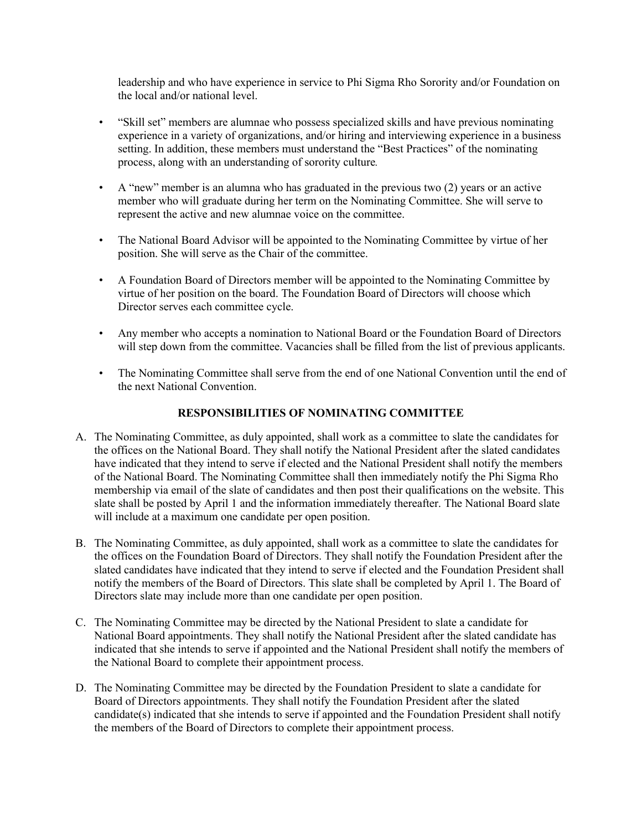leadership and who have experience in service to Phi Sigma Rho Sorority and/or Foundation on the local and/or national level.

- "Skill set" members are alumnae who possess specialized skills and have previous nominating experience in a variety of organizations, and/or hiring and interviewing experience in a business setting. In addition, these members must understand the "Best Practices" of the nominating process, along with an understanding of sorority culture*.*
- A "new" member is an alumna who has graduated in the previous two (2) years or an active member who will graduate during her term on the Nominating Committee. She will serve to represent the active and new alumnae voice on the committee.
- The National Board Advisor will be appointed to the Nominating Committee by virtue of her position. She will serve as the Chair of the committee.
- A Foundation Board of Directors member will be appointed to the Nominating Committee by virtue of her position on the board. The Foundation Board of Directors will choose which Director serves each committee cycle.
- Any member who accepts a nomination to National Board or the Foundation Board of Directors will step down from the committee. Vacancies shall be filled from the list of previous applicants.
- The Nominating Committee shall serve from the end of one National Convention until the end of the next National Convention.

#### **RESPONSIBILITIES OF NOMINATING COMMITTEE**

- A. The Nominating Committee, as duly appointed, shall work as a committee to slate the candidates for the offices on the National Board. They shall notify the National President after the slated candidates have indicated that they intend to serve if elected and the National President shall notify the members of the National Board. The Nominating Committee shall then immediately notify the Phi Sigma Rho membership via email of the slate of candidates and then post their qualifications on the website. This slate shall be posted by April 1 and the information immediately thereafter. The National Board slate will include at a maximum one candidate per open position.
- B. The Nominating Committee, as duly appointed, shall work as a committee to slate the candidates for the offices on the Foundation Board of Directors. They shall notify the Foundation President after the slated candidates have indicated that they intend to serve if elected and the Foundation President shall notify the members of the Board of Directors. This slate shall be completed by April 1. The Board of Directors slate may include more than one candidate per open position.
- C. The Nominating Committee may be directed by the National President to slate a candidate for National Board appointments. They shall notify the National President after the slated candidate has indicated that she intends to serve if appointed and the National President shall notify the members of the National Board to complete their appointment process.
- D. The Nominating Committee may be directed by the Foundation President to slate a candidate for Board of Directors appointments. They shall notify the Foundation President after the slated candidate(s) indicated that she intends to serve if appointed and the Foundation President shall notify the members of the Board of Directors to complete their appointment process.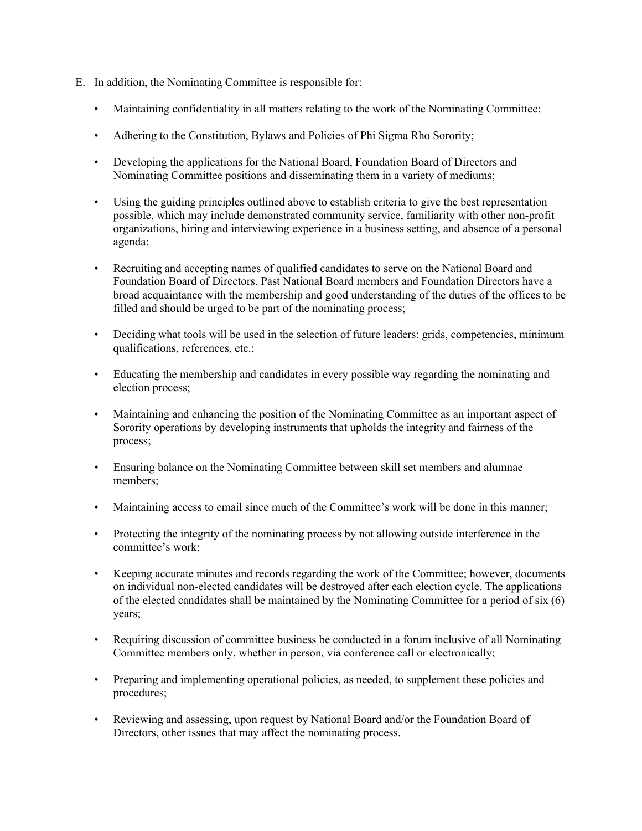- E. In addition, the Nominating Committee is responsible for:
	- Maintaining confidentiality in all matters relating to the work of the Nominating Committee;
	- Adhering to the Constitution, Bylaws and Policies of Phi Sigma Rho Sorority;
	- Developing the applications for the National Board, Foundation Board of Directors and Nominating Committee positions and disseminating them in a variety of mediums;
	- Using the guiding principles outlined above to establish criteria to give the best representation possible, which may include demonstrated community service, familiarity with other non-profit organizations, hiring and interviewing experience in a business setting, and absence of a personal agenda;
	- Recruiting and accepting names of qualified candidates to serve on the National Board and Foundation Board of Directors. Past National Board members and Foundation Directors have a broad acquaintance with the membership and good understanding of the duties of the offices to be filled and should be urged to be part of the nominating process;
	- Deciding what tools will be used in the selection of future leaders: grids, competencies, minimum qualifications, references, etc.;
	- Educating the membership and candidates in every possible way regarding the nominating and election process;
	- Maintaining and enhancing the position of the Nominating Committee as an important aspect of Sorority operations by developing instruments that upholds the integrity and fairness of the process;
	- Ensuring balance on the Nominating Committee between skill set members and alumnae members;
	- Maintaining access to email since much of the Committee's work will be done in this manner;
	- Protecting the integrity of the nominating process by not allowing outside interference in the committee's work;
	- Keeping accurate minutes and records regarding the work of the Committee; however, documents on individual non-elected candidates will be destroyed after each election cycle. The applications of the elected candidates shall be maintained by the Nominating Committee for a period of six (6) years;
	- Requiring discussion of committee business be conducted in a forum inclusive of all Nominating Committee members only, whether in person, via conference call or electronically;
	- Preparing and implementing operational policies, as needed, to supplement these policies and procedures;
	- Reviewing and assessing, upon request by National Board and/or the Foundation Board of Directors, other issues that may affect the nominating process.